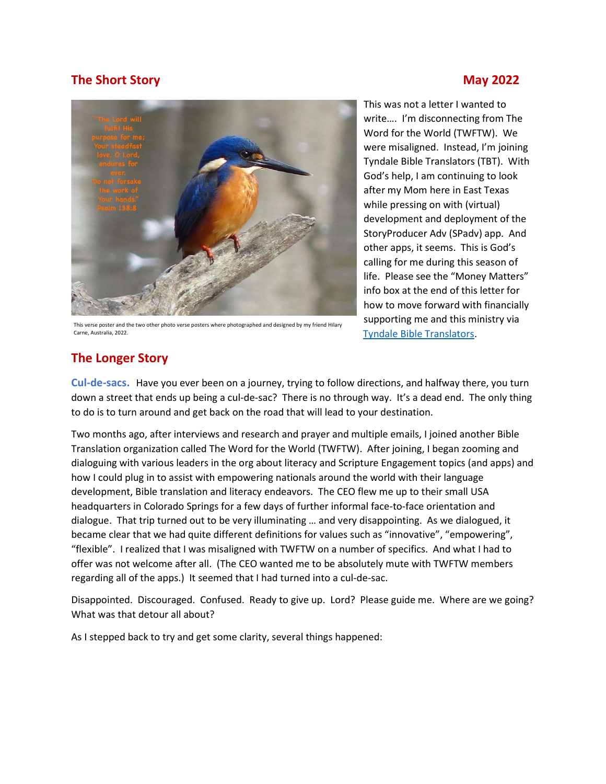# The Short Story May 2022



This verse poster and the two other photo verse posters where photographed and designed by my friend Hilary Carne, Australia, 2022.

This was not a letter I wanted to write…. I'm disconnecting from The Word for the World (TWFTW). We were misaligned. Instead, I'm joining Tyndale Bible Translators (TBT). With God's help, I am continuing to look after my Mom here in East Texas while pressing on with (virtual) development and deployment of the StoryProducer Adv (SPadv) app. And other apps, it seems. This is God's calling for me during this season of life. Please see the "Money Matters" info box at the end of this letter for how to move forward with financially supporting me and this ministry via Tyndale Bible Translators.

## The Longer Story

Cul-de-sacs. Have you ever been on a journey, trying to follow directions, and halfway there, you turn down a street that ends up being a cul-de-sac? There is no through way. It's a dead end. The only thing to do is to turn around and get back on the road that will lead to your destination.

Two months ago, after interviews and research and prayer and multiple emails, I joined another Bible Translation organization called The Word for the World (TWFTW). After joining, I began zooming and dialoguing with various leaders in the org about literacy and Scripture Engagement topics (and apps) and how I could plug in to assist with empowering nationals around the world with their language development, Bible translation and literacy endeavors. The CEO flew me up to their small USA headquarters in Colorado Springs for a few days of further informal face-to-face orientation and dialogue. That trip turned out to be very illuminating … and very disappointing. As we dialogued, it became clear that we had quite different definitions for values such as "innovative", "empowering", "flexible". I realized that I was misaligned with TWFTW on a number of specifics. And what I had to offer was not welcome after all. (The CEO wanted me to be absolutely mute with TWFTW members regarding all of the apps.) It seemed that I had turned into a cul-de-sac.

Disappointed. Discouraged. Confused. Ready to give up. Lord? Please guide me. Where are we going? What was that detour all about?

As I stepped back to try and get some clarity, several things happened: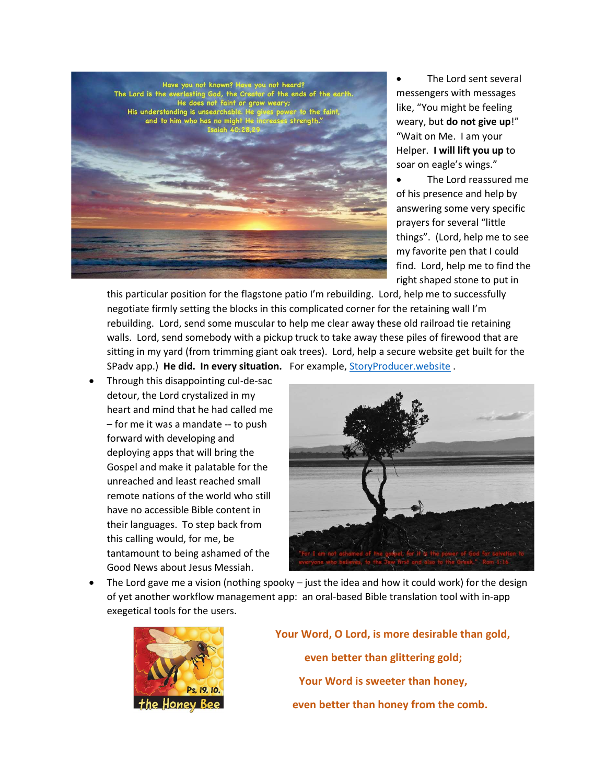

 The Lord sent several messengers with messages like, "You might be feeling weary, but do not give up!" "Wait on Me. I am your Helper. I will lift you up to soar on eagle's wings."

 The Lord reassured me of his presence and help by answering some very specific prayers for several "little things". (Lord, help me to see my favorite pen that I could find. Lord, help me to find the right shaped stone to put in

this particular position for the flagstone patio I'm rebuilding. Lord, help me to successfully negotiate firmly setting the blocks in this complicated corner for the retaining wall I'm rebuilding. Lord, send some muscular to help me clear away these old railroad tie retaining walls. Lord, send somebody with a pickup truck to take away these piles of firewood that are sitting in my yard (from trimming giant oak trees). Lord, help a secure website get built for the SPadv app.) He did. In every situation. For example, StoryProducer.website.

 Through this disappointing cul-de-sac detour, the Lord crystalized in my heart and mind that he had called me – for me it was a mandate -- to push forward with developing and deploying apps that will bring the Gospel and make it palatable for the unreached and least reached small remote nations of the world who still have no accessible Bible content in their languages. To step back from this calling would, for me, be tantamount to being ashamed of the Good News about Jesus Messiah.



 The Lord gave me a vision (nothing spooky – just the idea and how it could work) for the design of yet another workflow management app: an oral-based Bible translation tool with in-app exegetical tools for the users.



 Your Word, O Lord, is more desirable than gold, even better than glittering gold; Your Word is sweeter than honey, even better than honey from the comb.